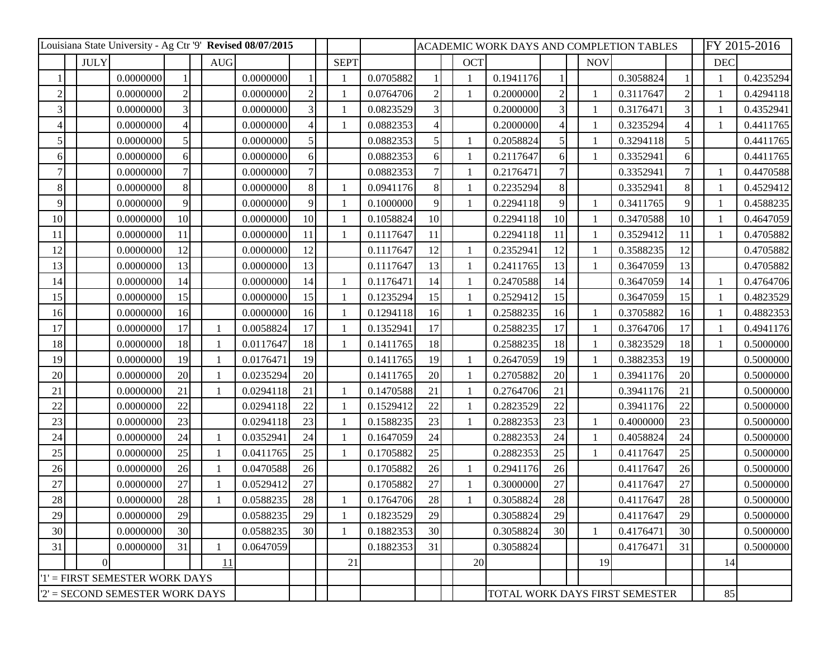| Louisiana State University - Ag Ctr '9' Revised 08/07/2015 |             |           |                          |  |                |           |                |              |           |                | ACADEMIC WORK DAYS AND COMPLETION TABLES |                                |           |             |  |              |           |    | FY 2015-2016 |           |  |
|------------------------------------------------------------|-------------|-----------|--------------------------|--|----------------|-----------|----------------|--------------|-----------|----------------|------------------------------------------|--------------------------------|-----------|-------------|--|--------------|-----------|----|--------------|-----------|--|
|                                                            | <b>JULY</b> |           |                          |  | <b>AUG</b>     |           |                | <b>SEPT</b>  |           |                |                                          | <b>OCT</b>                     |           |             |  | <b>NOV</b>   |           |    | <b>DEC</b>   |           |  |
|                                                            |             | 0.0000000 |                          |  |                | 0.0000000 |                |              | 0.0705882 |                |                                          | $\mathbf{1}$                   | 0.1941176 |             |  |              | 0.3058824 |    |              | 0.4235294 |  |
| $\overline{2}$                                             |             | 0.0000000 | $\overline{2}$           |  |                | 0.0000000 |                |              | 0.0764706 | $\overline{2}$ |                                          | $\mathbf{1}$                   | 0.2000000 |             |  |              | 0.3117647 |    |              | 0.4294118 |  |
| 3                                                          |             | 0.0000000 | 3                        |  |                | 0.0000000 |                |              | 0.0823529 | 3              |                                          |                                | 0.2000000 |             |  |              | 0.3176471 |    |              | 0.4352941 |  |
|                                                            |             | 0.0000000 | $\overline{\mathcal{A}}$ |  |                | 0.0000000 |                |              | 0.0882353 | 4              |                                          |                                | 0.2000000 |             |  |              | 0.3235294 |    |              | 0.4411765 |  |
| $\mathfrak{S}$                                             |             | 0.0000000 | 5 <sup>1</sup>           |  |                | 0.0000000 |                |              | 0.0882353 | 5              |                                          | -1                             | 0.2058824 |             |  |              | 0.3294118 | 5  |              | 0.4411765 |  |
| $6 \mid$                                                   |             | 0.0000000 | $\vert 6 \vert$          |  |                | 0.0000000 | 6 <sup>1</sup> |              | 0.0882353 | 6              |                                          | $\mathbf{1}$                   | 0.2117647 | 6           |  |              | 0.3352941 | 6  |              | 0.4411765 |  |
|                                                            |             | 0.0000000 |                          |  |                | 0.0000000 |                |              | 0.0882353 | 7              |                                          | -1                             | 0.2176471 |             |  |              | 0.3352941 |    |              | 0.4470588 |  |
| 8                                                          |             | 0.0000000 | 8                        |  |                | 0.0000000 | 8              | 1            | 0.0941176 | 8              |                                          | $\mathbf{1}$                   | 0.2235294 | 8           |  |              | 0.3352941 | 8  |              | 0.4529412 |  |
| 9                                                          |             | 0.0000000 | 9                        |  |                | 0.0000000 |                |              | 0.1000000 | 9              |                                          | $\mathbf{1}$                   | 0.2294118 | $\mathbf Q$ |  |              | 0.3411765 | 9  |              | 0.4588235 |  |
| 10                                                         |             | 0.0000000 | 10 <sup>1</sup>          |  |                | 0.0000000 | 10             | 1            | 0.1058824 | 10             |                                          |                                | 0.2294118 | 10          |  |              | 0.3470588 | 10 |              | 0.4647059 |  |
| 11                                                         |             | 0.0000000 | 11                       |  |                | 0.0000000 | <sup>11</sup>  |              | 0.1117647 | 11             |                                          |                                | 0.2294118 | 11          |  |              | 0.3529412 | 11 |              | 0.4705882 |  |
| 12                                                         |             | 0.0000000 | 12                       |  |                | 0.0000000 | 12             |              | 0.1117647 | 12             |                                          | $\mathbf{1}$                   | 0.2352941 | 12          |  |              | 0.3588235 | 12 |              | 0.4705882 |  |
| 13                                                         |             | 0.0000000 | 13                       |  |                | 0.0000000 | 13             |              | 0.1117647 | 13             |                                          | -1                             | 0.2411765 | 13          |  |              | 0.3647059 | 13 |              | 0.4705882 |  |
| 14                                                         |             | 0.0000000 | 14                       |  |                | 0.0000000 | 14             | 1            | 0.1176471 | 14             |                                          | $\mathbf{1}$                   | 0.2470588 | 14          |  |              | 0.3647059 | 14 |              | 0.4764706 |  |
| 15                                                         |             | 0.0000000 | 15                       |  |                | 0.0000000 | 15             |              | 0.1235294 | 15             |                                          | -1                             | 0.2529412 | 15          |  |              | 0.3647059 | 15 |              | 0.4823529 |  |
| 16                                                         |             | 0.0000000 | 16                       |  |                | 0.0000000 | 16             |              | 0.1294118 | 16             |                                          | $\mathbf{1}$                   | 0.2588235 | 16          |  |              | 0.3705882 | 16 |              | 0.4882353 |  |
| 17                                                         |             | 0.0000000 | 17                       |  |                | 0.0058824 | 17             |              | 0.1352941 | 17             |                                          |                                | 0.2588235 | 17          |  |              | 0.3764706 | 17 |              | 0.4941176 |  |
| 18                                                         |             | 0.0000000 | 18                       |  |                | 0.0117647 | 18             |              | 0.1411765 | 18             |                                          |                                | 0.2588235 | 18          |  |              | 0.3823529 | 18 |              | 0.5000000 |  |
| 19                                                         |             | 0.0000000 | 19                       |  |                | 0.0176471 | 19             |              | 0.1411765 | 19             |                                          | $\mathbf{1}$                   | 0.2647059 | 19          |  |              | 0.3882353 | 19 |              | 0.5000000 |  |
| 20                                                         |             | 0.0000000 | 20                       |  |                | 0.0235294 | 20             |              | 0.1411765 | 20             |                                          | -1                             | 0.2705882 | 20          |  |              | 0.3941176 | 20 |              | 0.5000000 |  |
| 21                                                         |             | 0.0000000 | 21                       |  | $\overline{1}$ | 0.0294118 | 21             | 1            | 0.1470588 | 21             |                                          | $\mathbf{1}$                   | 0.2764706 | 21          |  |              | 0.3941176 | 21 |              | 0.5000000 |  |
| 22                                                         |             | 0.0000000 | 22                       |  |                | 0.0294118 | 22             |              | 0.1529412 | 22             |                                          | $\mathbf{1}$                   | 0.2823529 | 22          |  |              | 0.3941176 | 22 |              | 0.5000000 |  |
| 23                                                         |             | 0.0000000 | 23                       |  |                | 0.0294118 | 23             | 1            | 0.1588235 | 23             |                                          | $\mathbf{1}$                   | 0.2882353 | 23          |  |              | 0.4000000 | 23 |              | 0.5000000 |  |
| 24                                                         |             | 0.0000000 | 24                       |  |                | 0.0352941 | 24             |              | 0.1647059 | 24             |                                          |                                | 0.2882353 | 24          |  |              | 0.4058824 | 24 |              | 0.5000000 |  |
| 25                                                         |             | 0.0000000 | 25                       |  |                | 0.0411765 | 25             | 1            | 0.1705882 | 25             |                                          |                                | 0.2882353 | 25          |  |              | 0.4117647 | 25 |              | 0.5000000 |  |
| 26                                                         |             | 0.0000000 | 26                       |  |                | 0.0470588 | 26             |              | 0.1705882 | 26             |                                          | -1                             | 0.2941176 | 26          |  |              | 0.4117647 | 26 |              | 0.5000000 |  |
| 27                                                         |             | 0.0000000 | 27                       |  |                | 0.0529412 | 27             |              | 0.1705882 | 27             |                                          | -1                             | 0.3000000 | 27          |  |              | 0.4117647 | 27 |              | 0.5000000 |  |
| 28                                                         |             | 0.0000000 | 28                       |  |                | 0.0588235 | 28             |              | 0.1764706 | 28             |                                          |                                | 0.3058824 | 28          |  |              | 0.4117647 | 28 |              | 0.5000000 |  |
| 29                                                         |             | 0.0000000 | 29                       |  |                | 0.0588235 | 29             |              | 0.1823529 | 29             |                                          |                                | 0.3058824 | 29          |  |              | 0.4117647 | 29 |              | 0.5000000 |  |
| 30                                                         |             | 0.0000000 | 30 <sup>1</sup>          |  |                | 0.0588235 | 30             | $\mathbf{1}$ | 0.1882353 | 30             |                                          |                                | 0.3058824 | 30          |  | $\mathbf{1}$ | 0.4176471 | 30 |              | 0.5000000 |  |
| 31                                                         |             | 0.0000000 | 31                       |  |                | 0.0647059 |                |              | 0.1882353 | 31             |                                          |                                | 0.3058824 |             |  |              | 0.4176471 | 31 |              | 0.5000000 |  |
|                                                            |             |           |                          |  | 11             |           |                | 21           |           |                |                                          | 20                             |           |             |  | 19           |           |    | 14           |           |  |
| $T = FIRST SEMESTER WORK DAYS$                             |             |           |                          |  |                |           |                |              |           |                |                                          |                                |           |             |  |              |           |    |              |           |  |
| $2'$ = SECOND SEMESTER WORK DAYS                           |             |           |                          |  |                |           |                |              |           |                |                                          | TOTAL WORK DAYS FIRST SEMESTER |           |             |  |              |           | 85 |              |           |  |